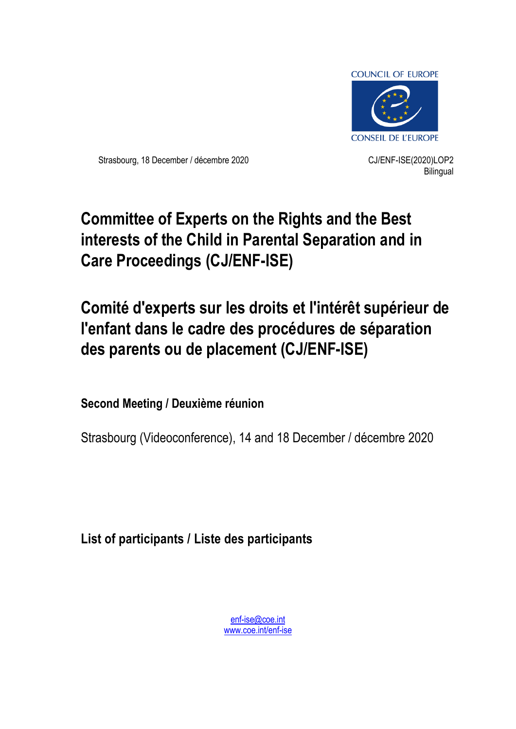

Strasbourg, 18 December / décembre 2020 CJ/ENF-ISE(2020)LOP2

**Bilingual** 

# **Committee of Experts on the Rights and the Best interests of the Child in Parental Separation and in Care Proceedings (CJ/ENF-ISE)**

# **Comité d'experts sur les droits et l'intérêt supérieur de l'enfant dans le cadre des procédures de séparation des parents ou de placement (CJ/ENF-ISE)**

**Second Meeting / Deuxième réunion**

Strasbourg (Videoconference), 14 and 18 December / décembre 2020

**List of participants / Liste des participants**

[enf-ise@coe.int](mailto:enf-ise@coe.int) [www.coe.int/enf-ise](http://www.coe.int/cdenf)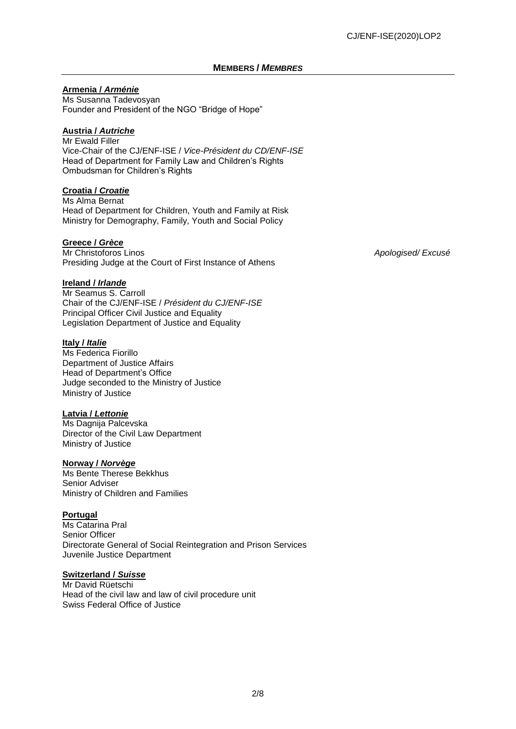#### **MEMBERS /** *MEMBRES*

#### **Armenia /** *Arménie*

Ms Susanna Tadevosyan Founder and President of the NGO "Bridge of Hope"

### **Austria /** *Autriche*

Mr Ewald Filler Vice-Chair of the CJ/ENF-ISE / *Vice-Président du CD/ENF-ISE* Head of Department for Family Law and Children's Rights Ombudsman for Children's Rights

#### **Croatia /** *Croatie*

Ms Alma Bernat Head of Department for Children, Youth and Family at Risk Ministry for Demography, Family, Youth and Social Policy

#### **Greece /** *Grèce*

Mr Christoforos Linos *Apologised/ Excusé* Presiding Judge at the Court of First Instance of Athens

**Ireland /** *Irlande*

Mr Seamus S. Carroll Chair of the CJ/ENF-ISE / *Président du CJ/ENF-ISE* Principal Officer Civil Justice and Equality Legislation Department of Justice and Equality

#### **Italy /** *Italie*

Ms Federica Fiorillo Department of Justice Affairs Head of Department's Office Judge seconded to the Ministry of Justice Ministry of Justice

#### **Latvia /** *Lettonie*

Ms Dagnija Palcevska Director of the Civil Law Department Ministry of Justice

#### **Norway /** *Norvège*

Ms Bente Therese Bekkhus Senior Adviser Ministry of Children and Families

#### **Portugal**

Ms Catarina Pral Senior Officer Directorate General of Social Reintegration and Prison Services Juvenile Justice Department

#### **Switzerland /** *Suisse*

Mr David Rüetschi Head of the civil law and law of civil procedure unit Swiss Federal Office of Justice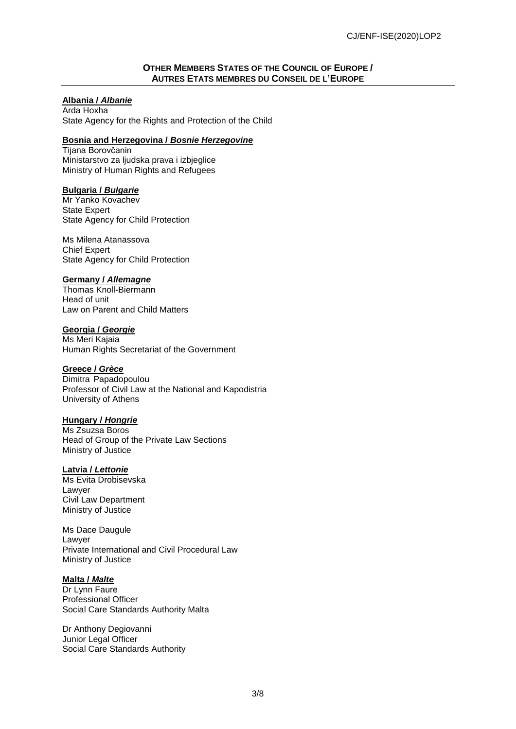#### **OTHER MEMBERS STATES OF THE COUNCIL OF EUROPE / AUTRES ETATS MEMBRES DU CONSEIL DE L'EUROPE**

### **Albania /** *Albanie*

Arda Hoxha State Agency for the Rights and Protection of the Child

#### **Bosnia and Herzegovina /** *Bosnie Herzegovine*

Tijana Borovčanin Ministarstvo za ljudska prava i izbieglice Ministry of Human Rights and Refugees

#### **Bulgaria /** *Bulgarie*

Mr Yanko Kovachev State Expert State Agency for Child Protection

Ms Milena Atanassova Chief Expert State Agency for Child Protection

#### **Germany /** *Allemagne*

Thomas Knoll-Biermann Head of unit Law on Parent and Child Matters

#### **Georgia /** *Georgie*

Ms Meri Kajaia Human Rights Secretariat of the Government

# **Greece /** *Grèce*

Dimitra Papadopoulou Professor of Civil Law at the National and Kapodistria University of Athens

#### **Hungary /** *Hongrie*

Ms Zsuzsa Boros Head of Group of the Private Law Sections Ministry of Justice

#### **Latvia /** *Lettonie*

Ms Evita Drobisevska Lawyer Civil Law Department Ministry of Justice

Ms Dace Daugule Lawyer Private International and Civil Procedural Law Ministry of Justice

#### **Malta /** *Malte*

Dr Lynn Faure Professional Officer Social Care Standards Authority Malta

Dr Anthony Degiovanni Junior Legal Officer Social Care Standards Authority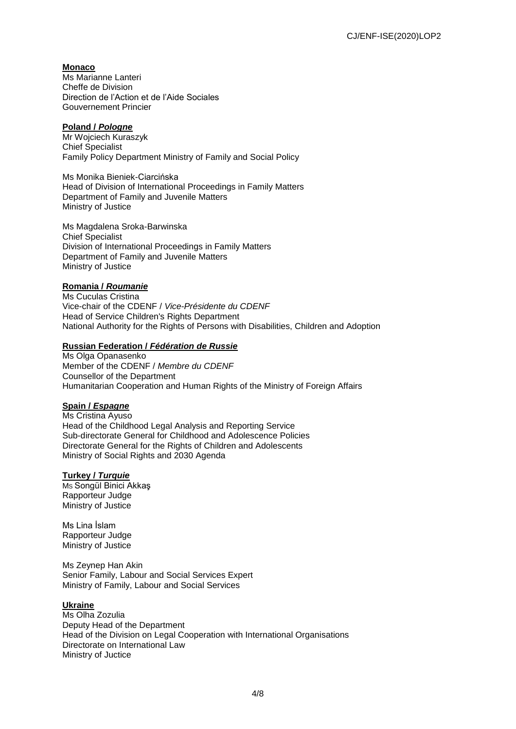# **Monaco**

Ms Marianne Lanteri Cheffe de Division Direction de l'Action et de l'Aide Sociales Gouvernement Princier

# **Poland /** *Pologne*

Mr Wojciech Kuraszyk Chief Specialist Family Policy Department Ministry of Family and Social Policy

Ms Monika Bieniek-Ciarcińska Head of Division of International Proceedings in Family Matters Department of Family and Juvenile Matters Ministry of Justice

Ms Magdalena Sroka-Barwinska Chief Specialist Division of International Proceedings in Family Matters Department of Family and Juvenile Matters Ministry of Justice

#### **Romania /** *Roumanie*

Ms Cuculas Cristina Vice-chair of the CDENF / *Vice-Présidente du CDENF* Head of Service Children's Rights Department National Authority for the Rights of Persons with Disabilities, Children and Adoption

#### **Russian Federation /** *Fédération de Russie*

Ms Olga Opanasenko Member of the CDENF / *Membre du CDENF* Counsellor of the Department Humanitarian Cooperation and Human Rights of the Ministry of Foreign Affairs

#### **Spain /** *Espagne*

Ms Cristina Ayuso Head of the Childhood Legal Analysis and Reporting Service Sub-directorate General for Childhood and Adolescence Policies Directorate General for the Rights of Children and Adolescents Ministry of Social Rights and 2030 Agenda

#### **Turkey /** *Turquie*

MS Songül Binici Akkaş Rapporteur Judge Ministry of Justice

Ms Lina İslam Rapporteur Judge Ministry of Justice

Ms Zeynep Han Akin Senior Family, Labour and Social Services Expert Ministry of Family, Labour and Social Services

#### **Ukraine**

Ms Olha Zozulia Deputy Head of the Department Head of the Division on Legal Cooperation with International Organisations Directorate on International Law Ministry of Juctice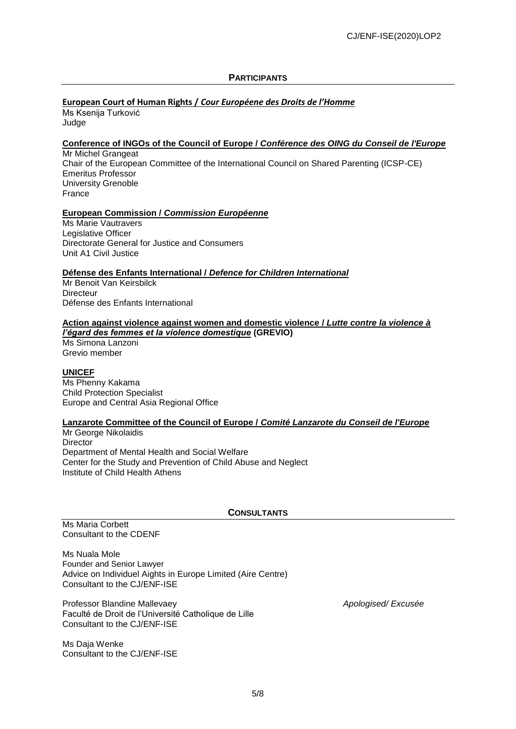### **PARTICIPANTS**

# **European Court of Human Rights /** *Cour Européene des Droits de l'Homme*

Ms Ksenija Turković Judge

#### **Conference of INGOs of the Council of Europe /** *Conférence des OING du Conseil de l'Europe*

Mr Michel Grangeat Chair of the European Committee of the International Council on Shared Parenting (ICSP-CE) Emeritus Professor University Grenoble France

#### **European Commission /** *Commission Européenne*

Ms Marie Vautravers Legislative Officer Directorate General for Justice and Consumers Unit A1 Civil Justice

#### **Défense des Enfants International /** *Defence for Children International*

Mr Benoit Van Keirsbilck **Directeur** Défense des Enfants International

# **Action against violence against women and domestic violence /** *Lutte contre la violence à*

*l'égard des femmes et la violence domestique* **(GREVIO)** Ms Simona Lanzoni Grevio member

#### **UNICEF**

Ms Phenny Kakama Child Protection Specialist Europe and Central Asia Regional Office

#### **Lanzarote Committee of the Council of Europe /** *Comité Lanzarote du Conseil de l'Europe*

Mr George Nikolaidis **Director** Department of Mental Health and Social Welfare Center for the Study and Prevention of Child Abuse and Neglect Institute of Child Health Athens

#### **CONSULTANTS**

Ms Maria Corbett Consultant to the CDENF

Ms Nuala Mole Founder and Senior Lawyer Advice on Individuel Aights in Europe Limited (Aire Centre) Consultant to the CJ/ENF-ISE

Professor Blandine Mallevaey *Apologised/ Excusée* Faculté de Droit de l'Université Catholique de Lille Consultant to the CJ/ENF-ISE

Ms Daja Wenke Consultant to the CJ/ENF-ISE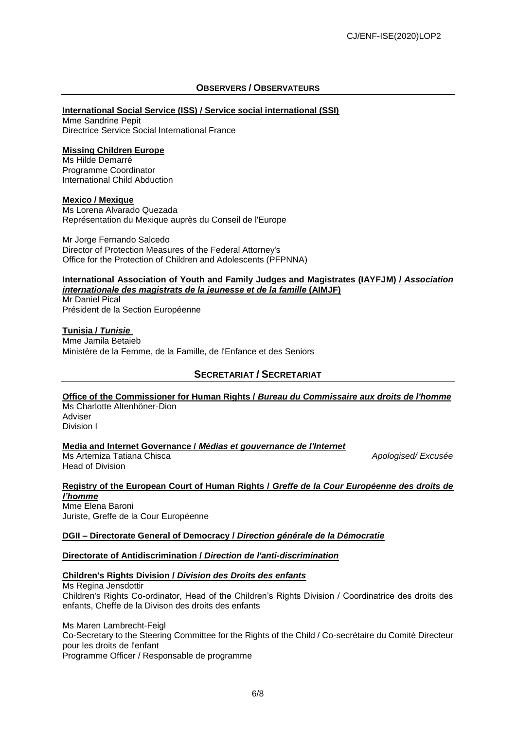#### **OBSERVERS / OBSERVATEURS**

#### **International Social Service (ISS) / Service social international (SSI)**

Mme Sandrine Pepit Directrice Service Social International France

#### **Missing Children Europe**

Ms Hilde Demarré Programme Coordinator International Child Abduction

#### **Mexico / Mexique**

Ms Lorena Alvarado Quezada Représentation du Mexique auprès du Conseil de l'Europe

Mr Jorge Fernando Salcedo Director of Protection Measures of the Federal Attorney's Office for the Protection of Children and Adolescents (PFPNNA)

#### **International Association of Youth and Family Judges and Magistrates (IAYFJM) /** *Association internationale des magistrats de la jeunesse et de la famille* **(AIMJF)**

Mr Daniel Pical Président de la Section Européenne

**Tunisia /** *Tunisie* Mme Jamila Betaieb Ministère de la Femme, de la Famille, de l'Enfance et des Seniors

# **SECRETARIAT / SECRETARIAT**

**Office of the Commissioner for Human Rights /** *Bureau du Commissaire aux droits de l'homme* Ms Charlotte Altenhöner-Dion

Adviser Division I

**Media and Internet Governance /** *Médias et gouvernance de l'Internet*

**Ms [Artemiza Tatiana Chisca](mailto:Artemiza-Tatiana.CHISCA@coe.int) Apologised/ Excusée Apologised/ Excusée** Head of Division

#### **Registry of the European Court of Human Rights /** *Greffe de la Cour Européenne des droits de l'homme*

Mme Elena Baroni Juriste, Greffe de la Cour Européenne

#### **DGII – Directorate General of Democracy /** *Direction générale de la Démocratie*

#### **Directorate of Antidiscrimination /** *Direction de l'anti-discrimination*

#### **Children's Rights Division /** *Division des Droits des enfants*

Ms Regina Jensdottir Children's Rights Co-ordinator, Head of the Children's Rights Division / Coordinatrice des droits des enfants, Cheffe de la Divison des droits des enfants

Ms Maren Lambrecht-Feigl Co-Secretary to the Steering Committee for the Rights of the Child / Co-secrétaire du Comité Directeur pour les droits de l'enfant Programme Officer / Responsable de programme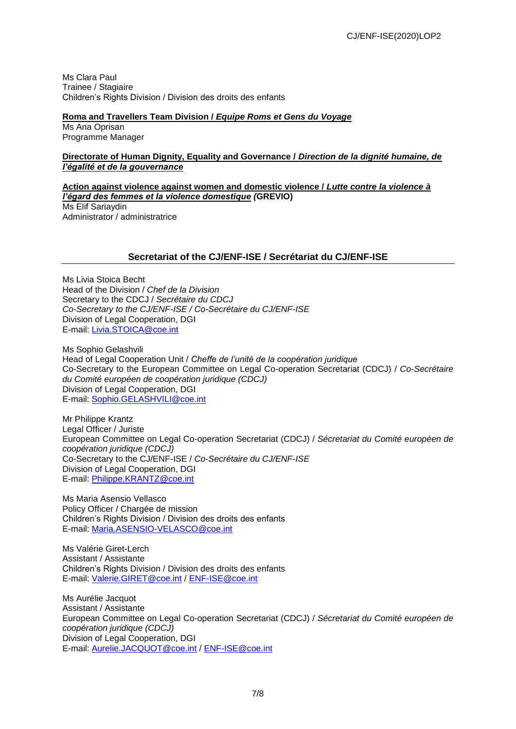Ms Clara Paul Trainee / Stagiaire Children's Rights Division / Division des droits des enfants

#### **Roma and Travellers Team Division /** *Equipe Roms et Gens du Voyage*

Ms Ana Oprisan Programme Manager

#### **Directorate of Human Dignity, Equality and Governance /** *Direction de la dignité humaine, de l'égalité et de la gouvernance*

**Action against violence against women and domestic violence /** *Lutte contre la violence à l'égard des femmes et la violence domestique (***GREVIO)** Ms Elif Sariaydin Administrator / administratrice

#### **Secretariat of the CJ/ENF-ISE / Secrétariat du CJ/ENF-ISE**

Ms Livia Stoica Becht Head of the Division / *Chef de la Division* Secretary to the CDCJ / *Secrétaire du CDCJ Co-Secretary to the CJ/ENF-ISE / Co-Secrétaire du CJ/ENF-ISE* Division of Legal Cooperation, DGI E-mail: [Livia.STOICA@coe.int](mailto:Livia.STOICA@coe.int)

Ms Sophio Gelashvili Head of Legal Cooperation Unit / *Cheffe de l'unité de la coopération juridique* Co-Secretary to the European Committee on Legal Co-operation Secretariat (CDCJ) / *Co-Secrétaire du Comité européen de coopération juridique (CDCJ)* Division of Legal Cooperation, DGI E-mail: [Sophio.GELASHVILI@coe.int](mailto:Sophio.GELASHVILI@coe.int)

Mr Philippe Krantz Legal Officer / Juriste European Committee on Legal Co-operation Secretariat (CDCJ) / *Sécretariat du Comité européen de coopération juridique (CDCJ)* Co-Secretary to the CJ/ENF-ISE / *Co-Secrétaire du CJ/ENF-ISE* Division of Legal Cooperation, DGI E-mail: [Philippe.KRANTZ@coe.int](mailto:Philippe.KRANTZ@coe.int)

Ms Maria Asensio Vellasco Policy Officer / Chargée de mission Children's Rights Division / Division des droits des enfants E-mail: [Maria.ASENSIO-VELASCO@coe.int](mailto:Maria.ASENSIO-VELASCO@coe.int)

Ms Valérie Giret-Lerch Assistant / Assistante Children's Rights Division / Division des droits des enfants E-mail: [Valerie.GIRET@coe.int](mailto:Valerie.GIRET@coe.int) / [ENF-ISE@coe.int](mailto:ENF-ISE@coe.int)

Ms Aurélie Jacquot Assistant / Assistante European Committee on Legal Co-operation Secretariat (CDCJ) / *Sécretariat du Comité européen de coopération juridique (CDCJ)* Division of Legal Cooperation, DGI E-mail: [Aurelie.JACQUOT@coe.int](mailto:Aurelie.JACQUOT@coe.int) / [ENF-ISE@coe.int](mailto:ENF-ISE@coe.int)